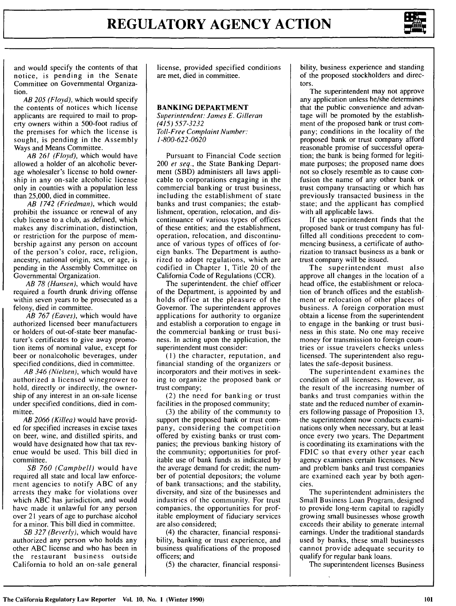

and would specify the contents of that notice, is pending in the Senate Committee on Governmental Organization.

AB 205 (Floyd), which would specify the contents of notices which license applicants are required to mail to property owners within a 500-foot radius of the premises for which the license is sought, is pending in the Assembly Ways and Means Committee.

*AB* 261 (Floyd), which would have allowed a holder of an alcoholic beverage wholesaler's license to hold ownership in any on-sale alcoholic license only in counties with a population less than 25,000, died in committee.

*AB 1742 (Friedman),* which would prohibit the issuance or renewal of any club license to a club, as defined, which makes any discrimination, distinction, or restriction for the purpose of membership against any person on account of the person's color, race, religion, ancestry, national origin, sex, or age, is pending in the Assembly Committee on Governmental Organization.

*AB 78 (Hansen),* which would have required a fourth drunk driving offense within seven years to be prosecuted as a felony, died in committee.

*AB 767 (Eaves),* which would have authorized licensed beer manufacturers or holders of out-of-state beer manufacturer's certificates to give away promotion items of nominal value, except for beer or nonalcoholic beverages, under specified conditions, died in committee.

*AB 346 (Nielsen),* which would have authorized a licensed winegrower to hold, directly or indirectly, the ownership of any interest in an on-sale license under specified conditions, died in committee.

*AB 2066 (Killea)* would have provided for specified increases in excise taxes on beer, wine, and distilled spirits, and would have designated how that tax revenue would be used. This bill died in committee.

SB 760 (Campbell) would have required all state and local law enforcement agencies to notify ABC of any arrests they make for violations over which ABC has jurisdiction, and would have made it unlawful for any person over 21 years of age to purchase alcohol for a minor. This bill died in committee.

*SB 327 (Beverly),* which would have authorized any person who holds any other ABC license and who has been in the restaurant business outside California to hold an on-sale general license, provided specified conditions are met, died in committee.

## **BANKING DEPARTMENT**

Superintendent: James E. Gilleran *(415) 557-3232* Toll-Free Complaint Number: 1-800-622-0620

Pursuant to Financial Code section 200 *et* seq., the State Banking Department (SBD) administers all laws applicable to corporations engaging in the commercial banking or trust business, including the establishment of state banks and trust companies; the establishment, operation, relocation, and discontinuance of various types of offices of these entities; and the establishment, operation, relocation, and discontinuance of various types of offices of foreign banks. The Department is authorized to adopt regulations, which are codified in Chapter 1, Title 20 of the California Code of Regulations (CCR).

The superintendent, the chief officer of the Department, is appointed by and holds office at the pleasure of the Governor. The superintendent approves applications for authority to organize and establish a corporation to engage in the commercial banking or trust business. In acting upon the application, the superintendent must consider:

**(I)** the character, reputation, and financial standing of the organizers or incorporators and their motives in seeking to organize the proposed bank or trust company;

(2) the need for banking or trust facilities in the proposed community;

(3) the ability of the community to support the proposed bank or trust company, considering the competition offered by existing banks or trust companies; the previous banking history of the community; opportunities for profitable use of bank funds as indicated by the average demand for credit; the number of potential depositors; the volume of bank transactions; and the stability, diversity, and size of the businesses and industries of the community. For trust companies, the opportunities for profitable employment of fiduciary services are also considered;

(4) the character, financial responsibility, banking or trust experience, and business qualifications of the proposed officers; and

(5) the character, financial responsi-

bility, business experience and standing of the proposed stockholders and directors.

The superintendent may not approve any application unless he/she determines that the public convenience and advantage will be promoted by the establishment of the proposed bank or trust company; conditions in the locality of the proposed bank or trust company afford reasonable promise of successful operation; the bank is being formed for legitimate purposes; the proposed name does not so closely resemble as to cause confusion the name of any other bank or trust company transacting or which has previously transacted business in the state; and the applicant has complied with all applicable laws.

If the superintendent finds that the proposed bank or trust company has fulfilled all conditions precedent to commencing business, a certificate of authorization to transact business as a bank or trust company will be issued.

The superintendent must also approve all changes in the location of a head office, the establishment or relocation of branch offices and the establishment or relocation of other places of business. A foreign corporation must obtain a license from the superintendent to engage in the banking or trust business in this state. No one may receive money for transmission to foreign countries or issue travelers checks unless licensed. The superintendent also regulates the safe-deposit business.

The superintendent examines the condition of all licensees. However, as the result of the increasing number of banks and trust companies within the state and the reduced number of examiners following passage of Proposition 13, the superintendent now conducts examinations only when necessary, but at least once every two years. The Department is coordinating its examinations with the FDIC so that every other year each agency examines certain licensees. New and problem banks and trust companies are examined each year by both agencies.

The superintendent administers the Small Business Loan Program, designed to provide long-term capital to rapidly growing small businesses whose growth exceeds their ability to generate internal earnings. Under the traditional standards used by banks, these small businesses cannot provide adequate security to qualify for regular bank loans.

The superintendent licenses Business